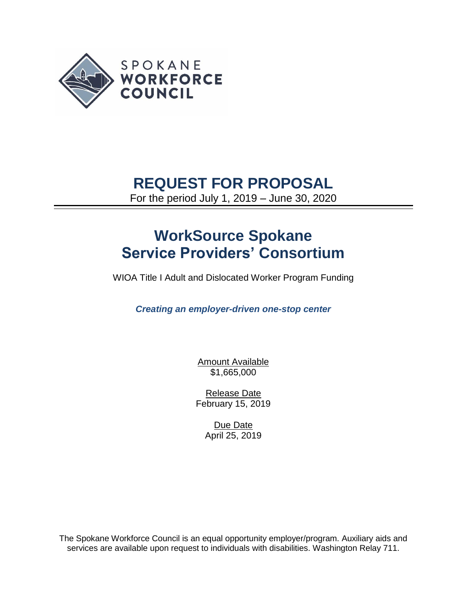

## **REQUEST FOR PROPOSAL**

For the period July 1, 2019 – June 30, 2020

# **WorkSource Spokane Service Providers' Consortium**

WIOA Title I Adult and Dislocated Worker Program Funding

*Creating an employer-driven one-stop center* 

Amount Available \$1,665,000

Release Date February 15, 2019

> Due Date April 25, 2019

The Spokane Workforce Council is an equal opportunity employer/program. Auxiliary aids and services are available upon request to individuals with disabilities. Washington Relay 711.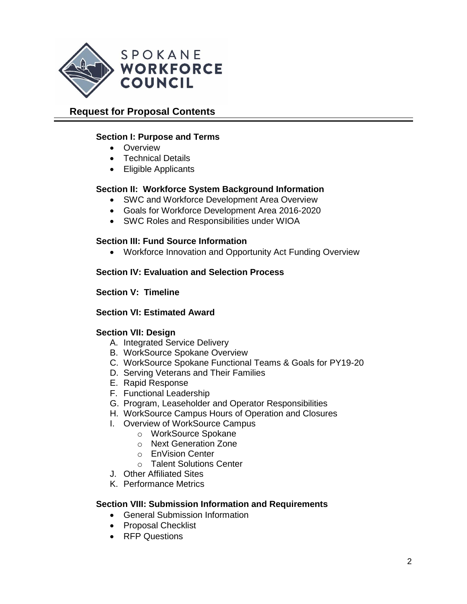

## **Request for Proposal Contents**

## **Section I: Purpose and Terms**

- Overview
- Technical Details
- Eligible Applicants

## **Section II: Workforce System Background Information**

- SWC and Workforce Development Area Overview
- Goals for Workforce Development Area 2016-2020
- SWC Roles and Responsibilities under WIOA

## **Section III: Fund Source Information**

• Workforce Innovation and Opportunity Act Funding Overview

## **Section IV: Evaluation and Selection Process**

#### **Section V: Timeline**

#### **Section VI: Estimated Award**

#### **Section VII: Design**

- A. Integrated Service Delivery
- B. WorkSource Spokane Overview
- C. WorkSource Spokane Functional Teams & Goals for PY19-20
- D. Serving Veterans and Their Families
- E. Rapid Response
- F. Functional Leadership
- G. Program, Leaseholder and Operator Responsibilities
- H. WorkSource Campus Hours of Operation and Closures
- I. Overview of WorkSource Campus
	- o WorkSource Spokane
	- o Next Generation Zone
	- o EnVision Center
	- o Talent Solutions Center
- J. Other Affiliated Sites
- K. Performance Metrics

#### **Section VIII: Submission Information and Requirements**

- General Submission Information
- Proposal Checklist
- RFP Questions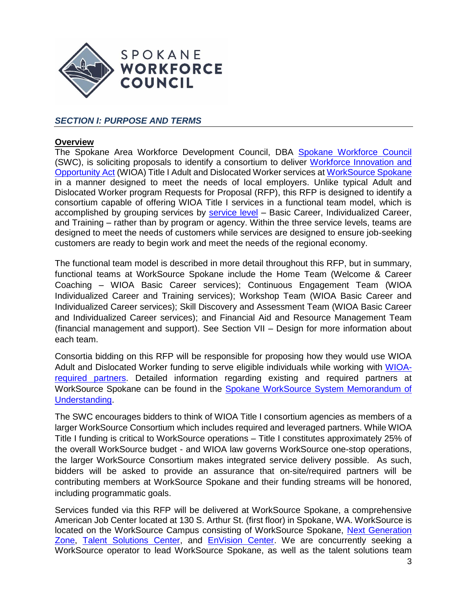

## *SECTION I: PURPOSE AND TERMS*

#### **Overview**

The Spokane Area Workforce Development Council, DBA [Spokane Workforce Council](https://wdcspokane.com/) (SWC), is soliciting proposals to identify a consortium to deliver [Workforce Innovation and](https://www.doleta.gov/wioa/)  [Opportunity Act](https://www.doleta.gov/wioa/) (WIOA) Title I Adult and Dislocated Worker services a[t WorkSource Spokane](https://worksourcewa.com/) in a manner designed to meet the needs of local employers. Unlike typical Adult and Dislocated Worker program Requests for Proposal (RFP), this RFP is designed to identify a consortium capable of offering WIOA Title I services in a functional team model, which is accomplished by grouping services by **service level** - Basic Career, Individualized Career, and Training – rather than by program or agency. Within the three service levels, teams are designed to meet the needs of customers while services are designed to ensure job-seeking customers are ready to begin work and meet the needs of the regional economy.

The functional team model is described in more detail throughout this RFP, but in summary, functional teams at WorkSource Spokane include the Home Team (Welcome & Career Coaching – WIOA Basic Career services); Continuous Engagement Team (WIOA Individualized Career and Training services); Workshop Team (WIOA Basic Career and Individualized Career services); Skill Discovery and Assessment Team (WIOA Basic Career and Individualized Career services); and Financial Aid and Resource Management Team (financial management and support). See Section VII – Design for more information about each team.

Consortia bidding on this RFP will be responsible for proposing how they would use WIOA Adult and Dislocated Worker funding to serve eligible individuals while working with [WIOA](https://www.doleta.gov/wioa/Docs/WIOA_OneStop_FactSheet.pdf)[required partners.](https://www.doleta.gov/wioa/Docs/WIOA_OneStop_FactSheet.pdf) Detailed information regarding existing and required partners at WorkSource Spokane can be found in the [Spokane WorkSource System Memorandum of](https://wdcspokane.com/plans-mous)  [Understanding.](https://wdcspokane.com/plans-mous)

The SWC encourages bidders to think of WIOA Title I consortium agencies as members of a larger WorkSource Consortium which includes required and leveraged partners. While WIOA Title I funding is critical to WorkSource operations – Title I constitutes approximately 25% of the overall WorkSource budget - and WIOA law governs WorkSource one-stop operations, the larger WorkSource Consortium makes integrated service delivery possible. As such, bidders will be asked to provide an assurance that on-site/required partners will be contributing members at WorkSource Spokane and their funding streams will be honored, including programmatic goals.

Services funded via this RFP will be delivered at WorkSource Spokane, a comprehensive American Job Center located at 130 S. Arthur St. (first floor) in Spokane, WA. WorkSource is located on the WorkSource Campus consisting of WorkSource Spokane, Next Generation [Zone,](https://nextgenzone.org/) [Talent Solutions Center,](https://wdcspokane.com/rfps) and [EnVision Center.](https://my.spokanecity.org/news/stories/2018/10/24/envision-center-opening-in-january/) We are concurrently seeking a WorkSource operator to lead WorkSource Spokane, as well as the talent solutions team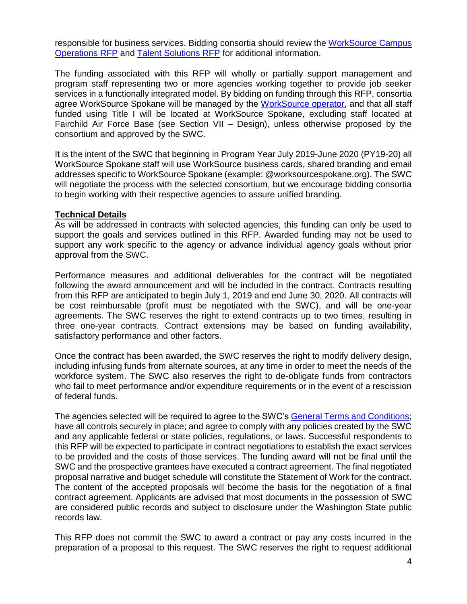responsible for business services. Bidding consortia should review the [WorkSource Campus](https://wdcspokane.com/rfps)  [Operations RFP](https://wdcspokane.com/rfps) and [Talent Solutions RFP](https://wdcspokane.com/rfps) for additional information.

The funding associated with this RFP will wholly or partially support management and program staff representing two or more agencies working together to provide job seeker services in a functionally integrated model. By bidding on funding through this RFP, consortia agree WorkSource Spokane will be managed by the [WorkSource operator,](https://wdcspokane.com/core/files/wdcspokane/uploads/files/One%20Stop%20Operator%20R1.pdf) and that all staff funded using Title I will be located at WorkSource Spokane, excluding staff located at Fairchild Air Force Base (see Section VII – Design), unless otherwise proposed by the consortium and approved by the SWC.

It is the intent of the SWC that beginning in Program Year July 2019-June 2020 (PY19-20) all WorkSource Spokane staff will use WorkSource business cards, shared branding and email addresses specific to WorkSource Spokane (example: @worksourcespokane.org). The SWC will negotiate the process with the selected consortium, but we encourage bidding consortia to begin working with their respective agencies to assure unified branding.

#### **Technical Details**

As will be addressed in contracts with selected agencies, this funding can only be used to support the goals and services outlined in this RFP. Awarded funding may not be used to support any work specific to the agency or advance individual agency goals without prior approval from the SWC.

Performance measures and additional deliverables for the contract will be negotiated following the award announcement and will be included in the contract. Contracts resulting from this RFP are anticipated to begin July 1, 2019 and end June 30, 2020. All contracts will be cost reimbursable (profit must be negotiated with the SWC), and will be one-year agreements. The SWC reserves the right to extend contracts up to two times, resulting in three one-year contracts. Contract extensions may be based on funding availability, satisfactory performance and other factors.

Once the contract has been awarded, the SWC reserves the right to modify delivery design, including infusing funds from alternate sources, at any time in order to meet the needs of the workforce system. The SWC also reserves the right to de-obligate funds from contractors who fail to meet performance and/or expenditure requirements or in the event of a rescission of federal funds.

The agencies selected will be required to agree to the SWC's [General Terms and Conditions;](https://wdcspokane.com/rfps) have all controls securely in place; and agree to comply with any policies created by the SWC and any applicable federal or state policies, regulations, or laws. Successful respondents to this RFP will be expected to participate in contract negotiations to establish the exact services to be provided and the costs of those services. The funding award will not be final until the SWC and the prospective grantees have executed a contract agreement. The final negotiated proposal narrative and budget schedule will constitute the Statement of Work for the contract. The content of the accepted proposals will become the basis for the negotiation of a final contract agreement. Applicants are advised that most documents in the possession of SWC are considered public records and subject to disclosure under the Washington State public records law.

This RFP does not commit the SWC to award a contract or pay any costs incurred in the preparation of a proposal to this request. The SWC reserves the right to request additional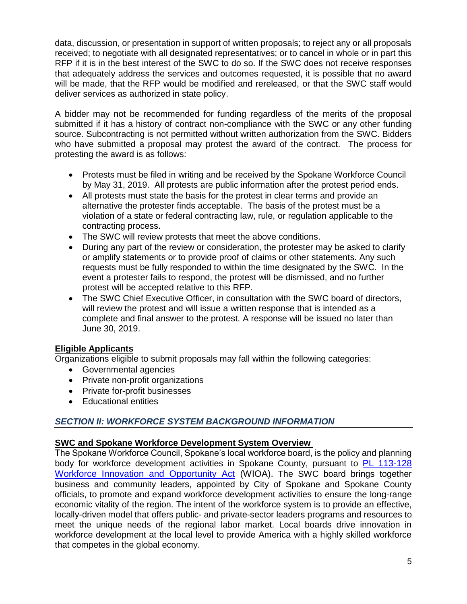data, discussion, or presentation in support of written proposals; to reject any or all proposals received; to negotiate with all designated representatives; or to cancel in whole or in part this RFP if it is in the best interest of the SWC to do so. If the SWC does not receive responses that adequately address the services and outcomes requested, it is possible that no award will be made, that the RFP would be modified and rereleased, or that the SWC staff would deliver services as authorized in state policy.

A bidder may not be recommended for funding regardless of the merits of the proposal submitted if it has a history of contract non-compliance with the SWC or any other funding source. Subcontracting is not permitted without written authorization from the SWC. Bidders who have submitted a proposal may protest the award of the contract. The process for protesting the award is as follows:

- Protests must be filed in writing and be received by the Spokane Workforce Council by May 31, 2019. All protests are public information after the protest period ends.
- All protests must state the basis for the protest in clear terms and provide an alternative the protester finds acceptable. The basis of the protest must be a violation of a state or federal contracting law, rule, or regulation applicable to the contracting process.
- The SWC will review protests that meet the above conditions.
- During any part of the review or consideration, the protester may be asked to clarify or amplify statements or to provide proof of claims or other statements. Any such requests must be fully responded to within the time designated by the SWC. In the event a protester fails to respond, the protest will be dismissed, and no further protest will be accepted relative to this RFP.
- The SWC Chief Executive Officer, in consultation with the SWC board of directors, will review the protest and will issue a written response that is intended as a complete and final answer to the protest. A response will be issued no later than June 30, 2019.

#### **Eligible Applicants**

Organizations eligible to submit proposals may fall within the following categories:

- Governmental agencies
- Private non-profit organizations
- Private for-profit businesses
- Educational entities

## *SECTION II: WORKFORCE SYSTEM BACKGROUND INFORMATION*

#### **SWC and Spokane Workforce Development System Overview**

The Spokane Workforce Council, Spokane's local workforce board, is the policy and planning body for workforce development activities in Spokane County, pursuant to [PL 113-128](https://www.govinfo.gov/content/pkg/PLAW-113publ128/pdf/PLAW-113publ128.pdf)  [Workforce Innovation and Opportunity Act](https://www.govinfo.gov/content/pkg/PLAW-113publ128/pdf/PLAW-113publ128.pdf) (WIOA). The SWC board brings together business and community leaders, appointed by City of Spokane and Spokane County officials, to promote and expand workforce development activities to ensure the long-range economic vitality of the region. The intent of the workforce system is to provide an effective, locally-driven model that offers public- and private-sector leaders programs and resources to meet the unique needs of the regional labor market. Local boards drive innovation in workforce development at the local level to provide America with a highly skilled workforce that competes in the global economy.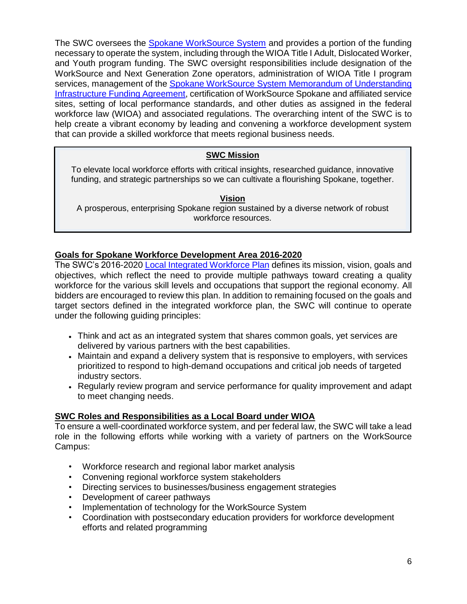The SWC oversees the [Spokane WorkSource System](https://wdcspokane.com/job-seeker-resources) and provides a portion of the funding necessary to operate the system, including through the WIOA Title I Adult, Dislocated Worker, and Youth program funding. The SWC oversight responsibilities include designation of the WorkSource and Next Generation Zone operators, administration of WIOA Title I program services, management of the Spokane WorkSource System Memorandum of Understanding [Infrastructure Funding Agreement,](https://wdcspokane.com/plans-mous) certification of WorkSource Spokane and affiliated service sites, setting of local performance standards, and other duties as assigned in the federal workforce law (WIOA) and associated regulations. The overarching intent of the SWC is to help create a vibrant economy by leading and convening a workforce development system that can provide a skilled workforce that meets regional business needs.

## **SWC Mission**

To elevate local workforce efforts with critical insights, researched guidance, innovative funding, and strategic partnerships so we can cultivate a flourishing Spokane, together.

**Vision**

A prosperous, enterprising Spokane region sustained by a diverse network of robust workforce resources.

## **Goals for Spokane Workforce Development Area 2016-2020**

The SWC's 2016-2020 [Local Integrated Workforce Plan](https://wdcspokane.com/core/files/wdcspokane/uploads/files/SAWDC%20WIOA%20Local%20Integrated%20Workforce%20Plan%20for%202016-2020_Final.pdf) defines its mission, vision, goals and objectives, which reflect the need to provide multiple pathways toward creating a quality workforce for the various skill levels and occupations that support the regional economy. All bidders are encouraged to review this plan. In addition to remaining focused on the goals and target sectors defined in the integrated workforce plan, the SWC will continue to operate under the following guiding principles:

- Think and act as an integrated system that shares common goals, yet services are delivered by various partners with the best capabilities.
- Maintain and expand a delivery system that is responsive to employers, with services prioritized to respond to high-demand occupations and critical job needs of targeted industry sectors.
- Regularly review program and service performance for quality improvement and adapt to meet changing needs.

## **SWC Roles and Responsibilities as a Local Board under WIOA**

To ensure a well-coordinated workforce system, and per federal law, the SWC will take a lead role in the following efforts while working with a variety of partners on the WorkSource Campus:

- Workforce research and regional labor market analysis
- Convening regional workforce system stakeholders
- Directing services to businesses/business engagement strategies
- Development of career pathways
- Implementation of technology for the WorkSource System
- Coordination with postsecondary education providers for workforce development efforts and related programming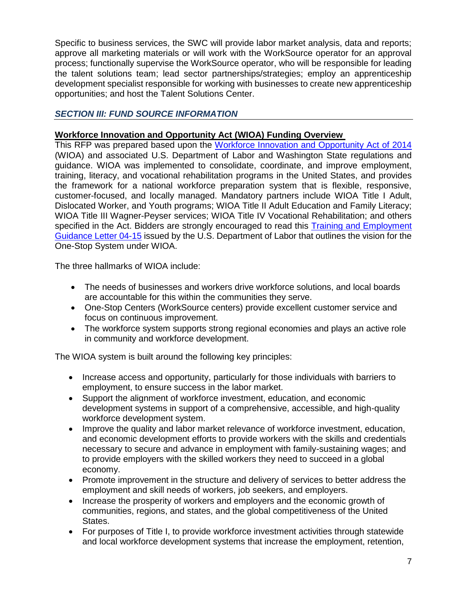Specific to business services, the SWC will provide labor market analysis, data and reports; approve all marketing materials or will work with the WorkSource operator for an approval process; functionally supervise the WorkSource operator, who will be responsible for leading the talent solutions team; lead sector partnerships/strategies; employ an apprenticeship development specialist responsible for working with businesses to create new apprenticeship opportunities; and host the Talent Solutions Center.

## *SECTION III: FUND SOURCE INFORMATION*

## **Workforce Innovation and Opportunity Act (WIOA) Funding Overview**

This RFP was prepared based upon the [Workforce Innovation and Opportunity Act of 2014](https://www.doleta.gov/wioa/) (WIOA) and associated U.S. Department of Labor and Washington State regulations and guidance. WIOA was implemented to consolidate, coordinate, and improve employment, training, literacy, and vocational rehabilitation programs in the United States, and provides the framework for a national workforce preparation system that is flexible, responsive, customer-focused, and locally managed. Mandatory partners include WIOA Title I Adult, Dislocated Worker, and Youth programs; WIOA Title II Adult Education and Family Literacy; WIOA Title III Wagner-Peyser services; WIOA Title IV Vocational Rehabilitation; and others specified in the Act. Bidders are strongly encouraged to read this **Training and Employment** [Guidance Letter](https://wdr.doleta.gov/directives/corr_doc.cfm?DOCN=6455) 04-15 issued by the U.S. Department of Labor that outlines the vision for the One-Stop System under WIOA.

The three hallmarks of WIOA include:

- The needs of businesses and workers drive workforce solutions, and local boards are accountable for this within the communities they serve.
- One-Stop Centers (WorkSource centers) provide excellent customer service and focus on continuous improvement.
- The workforce system supports strong regional economies and plays an active role in community and workforce development.

The WIOA system is built around the following key principles:

- Increase access and opportunity, particularly for those individuals with barriers to employment, to ensure success in the labor market.
- Support the alignment of workforce investment, education, and economic development systems in support of a comprehensive, accessible, and high-quality workforce development system.
- Improve the quality and labor market relevance of workforce investment, education, and economic development efforts to provide workers with the skills and credentials necessary to secure and advance in employment with family-sustaining wages; and to provide employers with the skilled workers they need to succeed in a global economy.
- Promote improvement in the structure and delivery of services to better address the employment and skill needs of workers, job seekers, and employers.
- Increase the prosperity of workers and employers and the economic growth of communities, regions, and states, and the global competitiveness of the United States.
- For purposes of Title I, to provide workforce investment activities through statewide and local workforce development systems that increase the employment, retention,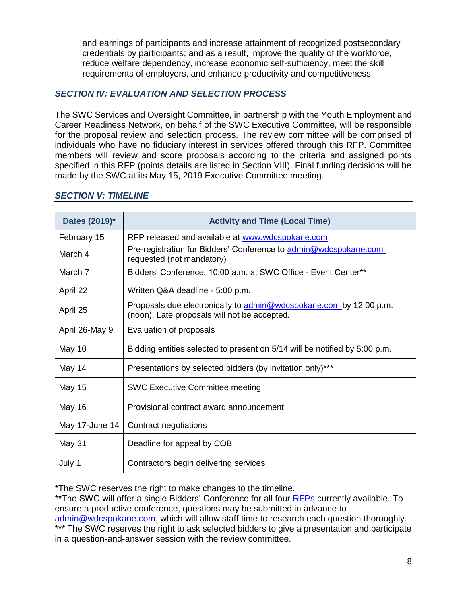and earnings of participants and increase attainment of recognized postsecondary credentials by participants; and as a result, improve the quality of the workforce, reduce welfare dependency, increase economic self-sufficiency, meet the skill requirements of employers, and enhance productivity and competitiveness.

## *SECTION IV: EVALUATION AND SELECTION PROCESS*

The SWC Services and Oversight Committee, in partnership with the Youth Employment and Career Readiness Network, on behalf of the SWC Executive Committee, will be responsible for the proposal review and selection process. The review committee will be comprised of individuals who have no fiduciary interest in services offered through this RFP. Committee members will review and score proposals according to the criteria and assigned points specified in this RFP (points details are listed in Section VIII). Final funding decisions will be made by the SWC at its May 15, 2019 Executive Committee meeting.

| Dates (2019)*  | <b>Activity and Time (Local Time)</b>                                                                              |  |
|----------------|--------------------------------------------------------------------------------------------------------------------|--|
| February 15    | RFP released and available at www.wdcspokane.com                                                                   |  |
| March 4        | Pre-registration for Bidders' Conference to admin@wdcspokane.com<br>requested (not mandatory)                      |  |
| March 7        | Bidders' Conference, 10:00 a.m. at SWC Office - Event Center**                                                     |  |
| April 22       | Written Q&A deadline - 5:00 p.m.                                                                                   |  |
| April 25       | Proposals due electronically to admin@wdcspokane.com by 12:00 p.m.<br>(noon). Late proposals will not be accepted. |  |
| April 26-May 9 | Evaluation of proposals                                                                                            |  |
| May 10         | Bidding entities selected to present on 5/14 will be notified by 5:00 p.m.                                         |  |
| May 14         | Presentations by selected bidders (by invitation only)***                                                          |  |
| <b>May 15</b>  | <b>SWC Executive Committee meeting</b>                                                                             |  |
| <b>May 16</b>  | Provisional contract award announcement                                                                            |  |
| May 17-June 14 | Contract negotiations                                                                                              |  |
| May 31         | Deadline for appeal by COB                                                                                         |  |
| July 1         | Contractors begin delivering services                                                                              |  |

## *SECTION V: TIMELINE*

\*The SWC reserves the right to make changes to the timeline.

\*\*The SWC will offer a single Bidders' Conference for all four [RFPs](https://wdcspokane.com/rfps) currently available. To ensure a productive conference, questions may be submitted in advance to [admin@wdcspokane.com,](mailto:admin@wdcspokane.com) which will allow staff time to research each question thoroughly. \*\*\* The SWC reserves the right to ask selected bidders to give a presentation and participate in a question-and-answer session with the review committee.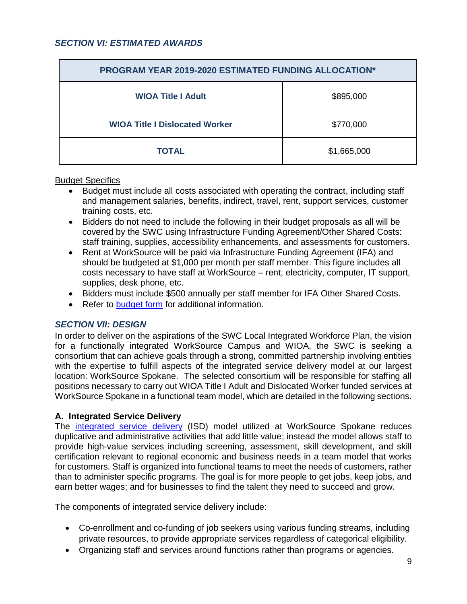| <b>PROGRAM YEAR 2019-2020 ESTIMATED FUNDING ALLOCATION*</b> |             |  |
|-------------------------------------------------------------|-------------|--|
| <b>WIOA Title I Adult</b>                                   | \$895,000   |  |
| <b>WIOA Title I Dislocated Worker</b>                       | \$770,000   |  |
| <b>TOTAL</b>                                                | \$1,665,000 |  |

#### Budget Specifics

- Budget must include all costs associated with operating the contract, including staff and management salaries, benefits, indirect, travel, rent, support services, customer training costs, etc.
- Bidders do not need to include the following in their budget proposals as all will be covered by the SWC using Infrastructure Funding Agreement/Other Shared Costs: staff training, supplies, accessibility enhancements, and assessments for customers.
- Rent at WorkSource will be paid via Infrastructure Funding Agreement (IFA) and should be budgeted at \$1,000 per month per staff member. This figure includes all costs necessary to have staff at WorkSource – rent, electricity, computer, IT support, supplies, desk phone, etc.
- Bidders must include \$500 annually per staff member for IFA Other Shared Costs.
- Refer to [budget form](https://wdcspokane.com/rfps) for additional information.

## *SECTION VII: DESIGN*

In order to deliver on the aspirations of the SWC Local Integrated Workforce Plan, the vision for a functionally integrated WorkSource Campus and WIOA, the SWC is seeking a consortium that can achieve goals through a strong, committed partnership involving entities with the expertise to fulfill aspects of the integrated service delivery model at our largest location: WorkSource Spokane. The selected consortium will be responsible for staffing all positions necessary to carry out WIOA Title I Adult and Dislocated Worker funded services at WorkSource Spokane in a functional team model, which are detailed in the following sections.

#### **A. Integrated Service Delivery**

The [integrated service delivery](https://wdcspokane.com/core/files/wdcspokane/uploads/files/WS815%20Integrated%20Service%20Delivery%20Policy%20Final%20110918.pdf) (ISD) model utilized at WorkSource Spokane reduces duplicative and administrative activities that add little value; instead the model allows staff to provide high-value services including screening, assessment, skill development, and skill certification relevant to regional economic and business needs in a team model that works for customers. Staff is organized into functional teams to meet the needs of customers, rather than to administer specific programs. The goal is for more people to get jobs, keep jobs, and earn better wages; and for businesses to find the talent they need to succeed and grow.

The components of integrated service delivery include:

- Co-enrollment and co-funding of job seekers using various funding streams, including private resources, to provide appropriate services regardless of categorical eligibility.
- Organizing staff and services around functions rather than programs or agencies.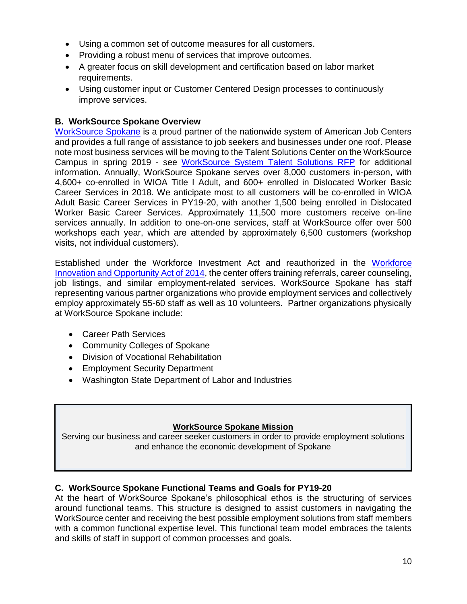- Using a common set of outcome measures for all customers.
- Providing a robust menu of services that improve outcomes.
- A greater focus on skill development and certification based on labor market requirements.
- Using customer input or Customer Centered Design processes to continuously improve services.

## **B. WorkSource Spokane Overview**

[WorkSource Spokane](https://worksourcespokane.com/) is a proud partner of the nationwide system of American Job Centers and provides a full range of assistance to job seekers and businesses under one roof. Please note most business services will be moving to the Talent Solutions Center on the WorkSource Campus in spring 2019 - see [WorkSource System Talent Solutions RFP](https://wdcspokane.com/rfps) for additional information. Annually, WorkSource Spokane serves over 8,000 customers in-person, with 4,600+ co-enrolled in WIOA Title I Adult, and 600+ enrolled in Dislocated Worker Basic Career Services in 2018. We anticipate most to all customers will be co-enrolled in WIOA Adult Basic Career Services in PY19-20, with another 1,500 being enrolled in Dislocated Worker Basic Career Services. Approximately 11,500 more customers receive on-line services annually. In addition to one-on-one services, staff at WorkSource offer over 500 workshops each year, which are attended by approximately 6,500 customers (workshop visits, not individual customers).

Established under the Workforce Investment Act and reauthorized in the [Workforce](https://www.doleta.gov/wioa/)  [Innovation and Opportunity Act of 2014,](https://www.doleta.gov/wioa/) the center offers training referrals, career counseling, job listings, and similar employment-related services. WorkSource Spokane has staff representing various partner organizations who provide employment services and collectively employ approximately 55-60 staff as well as 10 volunteers. Partner organizations physically at WorkSource Spokane include:

- Career Path Services
- Community Colleges of Spokane
- Division of Vocational Rehabilitation
- Employment Security Department
- Washington State Department of Labor and Industries

#### **WorkSource Spokane Mission**

Serving our business and career seeker customers in order to provide employment solutions and enhance the economic development of Spokane

## **C. WorkSource Spokane Functional Teams and Goals for PY19-20**

At the heart of WorkSource Spokane's philosophical ethos is the structuring of services around functional teams. This structure is designed to assist customers in navigating the WorkSource center and receiving the best possible employment solutions from staff members with a common functional expertise level. This functional team model embraces the talents and skills of staff in support of common processes and goals.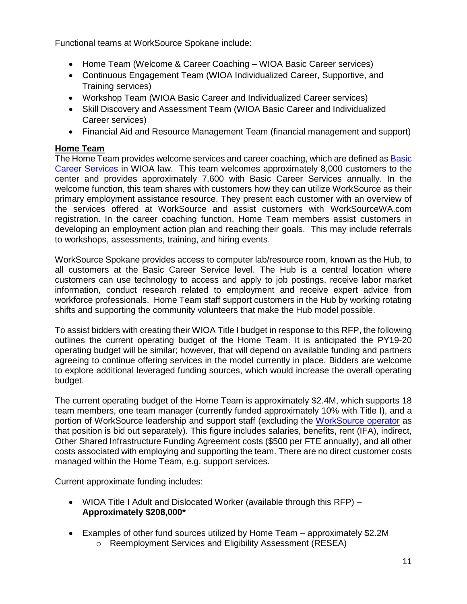Functional teams at WorkSource Spokane include:

- Home Team (Welcome & Career Coaching WIOA Basic Career services)
- Continuous Engagement Team (WIOA Individualized Career, Supportive, and Training services)
- Workshop Team (WIOA Basic Career and Individualized Career services)
- Skill Discovery and Assessment Team (WIOA Basic Career and Individualized Career services)
- Financial Aid and Resource Management Team (financial management and support)

## **Home Team**

The Home Team provides welcome services and career coaching, which are defined as Basic [Career Services](https://wdr.doleta.gov/directives/attach/TEGL/TEGL_03-15_Acc.pdf) in WIOA law. This team welcomes approximately 8,000 customers to the center and provides approximately 7,600 with Basic Career Services annually. In the welcome function, this team shares with customers how they can utilize WorkSource as their primary employment assistance resource. They present each customer with an overview of the services offered at WorkSource and assist customers with WorkSourceWA.com registration. In the career coaching function, Home Team members assist customers in developing an employment action plan and reaching their goals. This may include referrals to workshops, assessments, training, and hiring events.

WorkSource Spokane provides access to computer lab/resource room, known as the Hub, to all customers at the Basic Career Service level. The Hub is a central location where customers can use technology to access and apply to job postings, receive labor market information, conduct research related to employment and receive expert advice from workforce professionals. Home Team staff support customers in the Hub by working rotating shifts and supporting the community volunteers that make the Hub model possible.

To assist bidders with creating their WIOA Title I budget in response to this RFP, the following outlines the current operating budget of the Home Team. It is anticipated the PY19-20 operating budget will be similar; however, that will depend on available funding and partners agreeing to continue offering services in the model currently in place. Bidders are welcome to explore additional leveraged funding sources, which would increase the overall operating budget.

The current operating budget of the Home Team is approximately \$2.4M, which supports 18 team members, one team manager (currently funded approximately 10% with Title I), and a portion of WorkSource leadership and support staff (excluding the [WorkSource operator](https://wdcspokane.com/rfps) as that position is bid out separately). This figure includes salaries, benefits, rent (IFA), indirect, Other Shared Infrastructure Funding Agreement costs (\$500 per FTE annually), and all other costs associated with employing and supporting the team. There are no direct customer costs managed within the Home Team, e.g. support services.

Current approximate funding includes:

- WIOA Title I Adult and Dislocated Worker (available through this RFP) **Approximately \$208,000\***
- Examples of other fund sources utilized by Home Team approximately \$2.2M
	- o Reemployment Services and Eligibility Assessment (RESEA)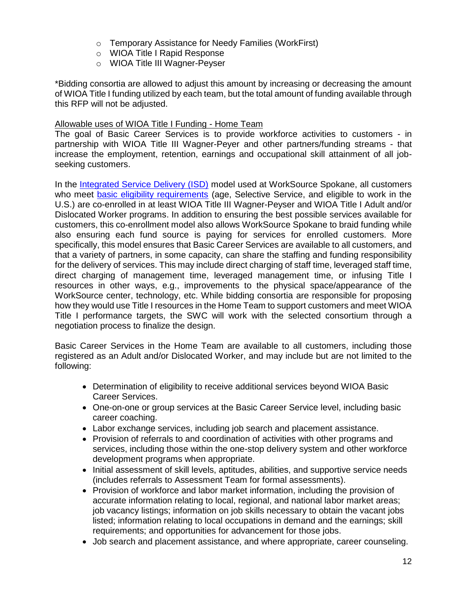- o Temporary Assistance for Needy Families (WorkFirst)
- o WIOA Title I Rapid Response
- o WIOA Title III Wagner-Peyser

\*Bidding consortia are allowed to adjust this amount by increasing or decreasing the amount of WIOA Title I funding utilized by each team, but the total amount of funding available through this RFP will not be adjusted.

#### Allowable uses of WIOA Title I Funding - Home Team

The goal of Basic Career Services is to provide workforce activities to customers - in partnership with WIOA Title III Wagner-Peyer and other partners/funding streams - that increase the employment, retention, earnings and occupational skill attainment of all jobseeking customers.

In the [Integrated Service Delivery \(ISD\)](https://wdcspokane.com/core/files/wdcspokane/uploads/files/WS815%20Integrated%20Service%20Delivery%20Policy%20Final%20110918.pdf) model used at WorkSource Spokane, all customers who meet [basic eligibility requirements](https://wdcspokane.com/core/files/wdcspokane/uploads/files/WS815%20ISD%20Policy%20Attachment%20A%20-%20ISD%20Handbook%20Final%20110918.pdf) (age, Selective Service, and eligible to work in the U.S.) are co-enrolled in at least WIOA Title III Wagner-Peyser and WIOA Title I Adult and/or Dislocated Worker programs. In addition to ensuring the best possible services available for customers, this co-enrollment model also allows WorkSource Spokane to braid funding while also ensuring each fund source is paying for services for enrolled customers. More specifically, this model ensures that Basic Career Services are available to all customers, and that a variety of partners, in some capacity, can share the staffing and funding responsibility for the delivery of services. This may include direct charging of staff time, leveraged staff time, direct charging of management time, leveraged management time, or infusing Title I resources in other ways, e.g., improvements to the physical space/appearance of the WorkSource center, technology, etc. While bidding consortia are responsible for proposing how they would use Title I resources in the Home Team to support customers and meet WIOA Title I performance targets, the SWC will work with the selected consortium through a negotiation process to finalize the design.

Basic Career Services in the Home Team are available to all customers, including those registered as an Adult and/or Dislocated Worker, and may include but are not limited to the following:

- Determination of eligibility to receive additional services beyond WIOA Basic Career Services.
- One-on-one or group services at the Basic Career Service level, including basic career coaching.
- Labor exchange services, including job search and placement assistance.
- Provision of referrals to and coordination of activities with other programs and services, including those within the one-stop delivery system and other workforce development programs when appropriate.
- Initial assessment of skill levels, aptitudes, abilities, and supportive service needs (includes referrals to Assessment Team for formal assessments).
- Provision of workforce and labor market information, including the provision of accurate information relating to local, regional, and national labor market areas; job vacancy listings; information on job skills necessary to obtain the vacant jobs listed; information relating to local occupations in demand and the earnings; skill requirements; and opportunities for advancement for those jobs.
- Job search and placement assistance, and where appropriate, career counseling.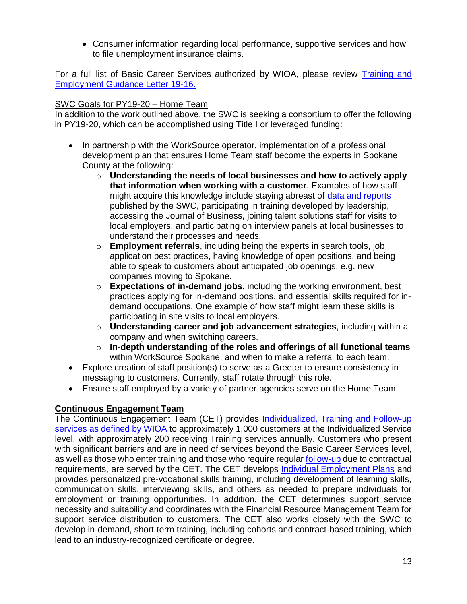• Consumer information regarding local performance, supportive services and how to file unemployment insurance claims.

For a full list of Basic Career Services authorized by WIOA, please review [Training and](https://wdr.doleta.gov/directives/corr_doc.cfm?DOCN=3851)  [Employment Guidance Letter 19-16.](https://wdr.doleta.gov/directives/corr_doc.cfm?DOCN=3851)

## SWC Goals for PY19-20 – Home Team

In addition to the work outlined above, the SWC is seeking a consortium to offer the following in PY19-20, which can be accomplished using Title I or leveraged funding:

- In partnership with the WorkSource operator, implementation of a professional development plan that ensures Home Team staff become the experts in Spokane County at the following:
	- o **Understanding the needs of local businesses and how to actively apply that information when working with a customer**. Examples of how staff might acquire this knowledge include staying abreast of [data and reports](https://wdcspokane.com/workforce-data-and-tools) published by the SWC, participating in training developed by leadership, accessing the Journal of Business, joining talent solutions staff for visits to local employers, and participating on interview panels at local businesses to understand their processes and needs.
	- o **Employment referrals**, including being the experts in search tools, job application best practices, having knowledge of open positions, and being able to speak to customers about anticipated job openings, e.g. new companies moving to Spokane.
	- o **Expectations of in-demand jobs**, including the working environment, best practices applying for in-demand positions, and essential skills required for indemand occupations. One example of how staff might learn these skills is participating in site visits to local employers.
	- o **Understanding career and job advancement strategies**, including within a company and when switching careers.
	- o **In-depth understanding of the roles and offerings of all functional teams** within WorkSource Spokane, and when to make a referral to each team.
- Explore creation of staff position(s) to serve as a Greeter to ensure consistency in messaging to customers. Currently, staff rotate through this role.
- Ensure staff employed by a variety of partner agencies serve on the Home Team.

## **Continuous Engagement Team**

The Continuous Engagement Team (CET) provides [Individualized, Training and Follow-up](https://wdr.doleta.gov/directives/attach/TEGL/TEGL_03-15_Acc.pdf)  [services as defined by WIOA](https://wdr.doleta.gov/directives/attach/TEGL/TEGL_03-15_Acc.pdf) to approximately 1,000 customers at the Individualized Service level, with approximately 200 receiving Training services annually. Customers who present with significant barriers and are in need of services beyond the Basic Career Services level, as well as those who enter training and those who require regular [follow-up](https://wdcspokane.com/core/files/wdcspokane/uploads/files/W418%20-%20Follow-up%20Services%20for%20ADDW%20Final%20092717.pdf) due to contractual requirements, are served by the CET. The CET develops [Individual Employment Plans](https://wdcspokane.com/core/files/wdcspokane/uploads/files/WS817%20IEP-ISS%20050818.pdf) and provides personalized pre-vocational skills training, including development of learning skills, communication skills, interviewing skills, and others as needed to prepare individuals for employment or training opportunities. In addition, the CET determines support service necessity and suitability and coordinates with the Financial Resource Management Team for support service distribution to customers. The CET also works closely with the SWC to develop in-demand, short-term training, including cohorts and contract-based training, which lead to an industry-recognized certificate or degree.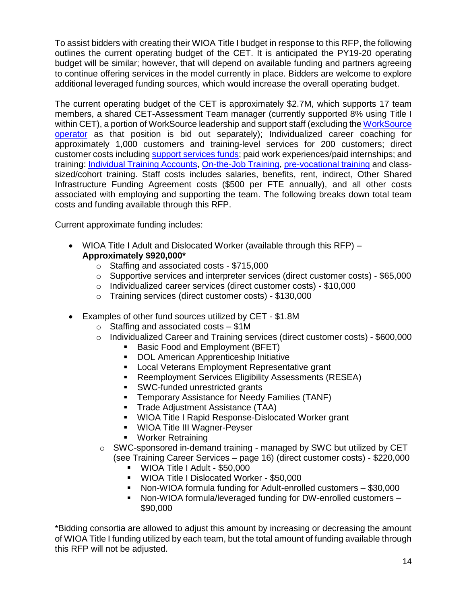To assist bidders with creating their WIOA Title I budget in response to this RFP, the following outlines the current operating budget of the CET. It is anticipated the PY19-20 operating budget will be similar; however, that will depend on available funding and partners agreeing to continue offering services in the model currently in place. Bidders are welcome to explore additional leveraged funding sources, which would increase the overall operating budget.

The current operating budget of the CET is approximately \$2.7M, which supports 17 team members, a shared CET-Assessment Team manager (currently supported 8% using Title I within CET), a portion of WorkSource leadership and support staff (excluding th[e WorkSource](https://wdcspokane.com/rfps)  [operator](https://wdcspokane.com/rfps) as that position is bid out separately); Individualized career coaching for approximately 1,000 customers and training-level services for 200 customers; direct customer costs including [support services funds;](https://wdcspokane.com/core/files/wdcspokane/uploads/files/W409%20R4%20Support%20Services%20100417.pdf) paid work experiences/paid internships; and training: [Individual Training Accounts,](https://wdcspokane.com/core/files/wdcspokane/uploads/files/W408%20R1%20-%20Individual%20Training%20Accounts%20-%20ADDW%20061517.pdf) [On-the-Job Training,](https://wdcspokane.com/core/files/wdcspokane/uploads/files/W410R1%20OJT%20-%20090117.pdf) [pre-vocational training](https://wdcspokane.com/core/files/wdcspokane/uploads/files/W408%20ITA-Classroom-PreVoc_2014_Final(1).pdf) and classsized/cohort training. Staff costs includes salaries, benefits, rent, indirect, Other Shared Infrastructure Funding Agreement costs (\$500 per FTE annually), and all other costs associated with employing and supporting the team. The following breaks down total team costs and funding available through this RFP.

Current approximate funding includes:

- WIOA Title I Adult and Dislocated Worker (available through this RFP) **Approximately \$920,000\***
	- o Staffing and associated costs \$715,000
	- o Supportive services and interpreter services (direct customer costs) \$65,000
	- o Individualized career services (direct customer costs) \$10,000
	- o Training services (direct customer costs) \$130,000
- Examples of other fund sources utilized by CET \$1.8M
	- $\circ$  Staffing and associated costs \$1M
	- $\circ$  Individualized Career and Training services (direct customer costs) \$600,000
		- Basic Food and Employment (BFET)
			- DOL American Apprenticeship Initiative
			- Local Veterans Employment Representative grant
		- Reemployment Services Eligibility Assessments (RESEA)
		- SWC-funded unrestricted grants
		- **EXECTE THE TEMPORAT TEMPORATE:** Temporary Assistance for Needy Families (TANF)
		- **E** Trade Adjustment Assistance (TAA)
		- WIOA Title I Rapid Response-Dislocated Worker grant
		- WIOA Title III Wagner-Peyser
		- Worker Retraining
	- $\circ$  SWC-sponsored in-demand training managed by SWC but utilized by CET (see Training Career Services – page 16) (direct customer costs) - \$220,000
		- WIOA Title I Adult \$50,000
		- WIOA Title I Dislocated Worker \$50,000
		- Non-WIOA formula funding for Adult-enrolled customers \$30,000
		- Non-WIOA formula/leveraged funding for DW-enrolled customers \$90,000

\*Bidding consortia are allowed to adjust this amount by increasing or decreasing the amount of WIOA Title I funding utilized by each team, but the total amount of funding available through this RFP will not be adjusted.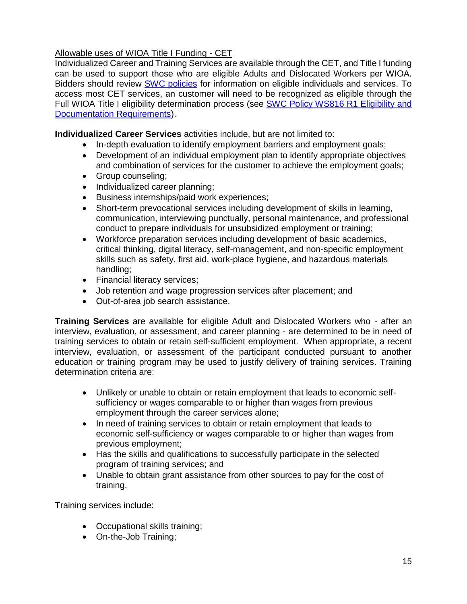## Allowable uses of WIOA Title I Funding - CET

Individualized Career and Training Services are available through the CET, and Title I funding can be used to support those who are eligible Adults and Dislocated Workers per WIOA. Bidders should review [SWC policies](https://wdcspokane.com/policies) for information on eligible individuals and services. To access most CET services, an customer will need to be recognized as eligible through the Full WIOA Title I eligibility determination process (see SWC Policy WS816 R1 Eligibility and [Documentation Requirements\)](https://wdcspokane.com/worksource-system).

**Individualized Career Services** activities include, but are not limited to:

- In-depth evaluation to identify employment barriers and employment goals;
- Development of an individual employment plan to identify appropriate objectives and combination of services for the customer to achieve the employment goals;
- Group counseling;
- Individualized career planning;
- Business internships/paid work experiences;
- Short-term prevocational services including development of skills in learning, communication, interviewing punctually, personal maintenance, and professional conduct to prepare individuals for unsubsidized employment or training;
- Workforce preparation services including development of basic academics, critical thinking, digital literacy, self-management, and non-specific employment skills such as safety, first aid, work-place hygiene, and hazardous materials handling;
- Financial literacy services;
- Job retention and wage progression services after placement; and
- Out-of-area job search assistance.

**Training Services** are available for eligible Adult and Dislocated Workers who - after an interview, evaluation, or assessment, and career planning - are determined to be in need of training services to obtain or retain self-sufficient employment. When appropriate, a recent interview, evaluation, or assessment of the participant conducted pursuant to another education or training program may be used to justify delivery of training services. Training determination criteria are:

- Unlikely or unable to obtain or retain employment that leads to economic selfsufficiency or wages comparable to or higher than wages from previous employment through the career services alone;
- In need of training services to obtain or retain employment that leads to economic self-sufficiency or wages comparable to or higher than wages from previous employment;
- Has the skills and qualifications to successfully participate in the selected program of training services; and
- Unable to obtain grant assistance from other sources to pay for the cost of training.

Training services include:

- Occupational skills training;
- On-the-Job Training;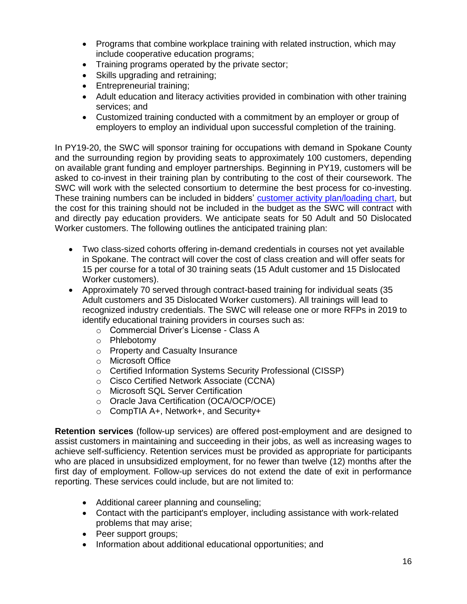- Programs that combine workplace training with related instruction, which may include cooperative education programs;
- Training programs operated by the private sector;
- Skills upgrading and retraining;
- Entrepreneurial training;
- Adult education and literacy activities provided in combination with other training services; and
- Customized training conducted with a commitment by an employer or group of employers to employ an individual upon successful completion of the training.

In PY19-20, the SWC will sponsor training for occupations with demand in Spokane County and the surrounding region by providing seats to approximately 100 customers, depending on available grant funding and employer partnerships. Beginning in PY19, customers will be asked to co-invest in their training plan by contributing to the cost of their coursework. The SWC will work with the selected consortium to determine the best process for co-investing. These training numbers can be included in bidders' [customer activity plan/loading chart,](https://wdcspokane.com/rfps) but the cost for this training should not be included in the budget as the SWC will contract with and directly pay education providers. We anticipate seats for 50 Adult and 50 Dislocated Worker customers. The following outlines the anticipated training plan:

- Two class-sized cohorts offering in-demand credentials in courses not yet available in Spokane. The contract will cover the cost of class creation and will offer seats for 15 per course for a total of 30 training seats (15 Adult customer and 15 Dislocated Worker customers).
- Approximately 70 served through contract-based training for individual seats (35 Adult customers and 35 Dislocated Worker customers). All trainings will lead to recognized industry credentials. The SWC will release one or more RFPs in 2019 to identify educational training providers in courses such as:
	- o Commercial Driver's License Class A
	- o Phlebotomy
	- o Property and Casualty Insurance
	- o Microsoft Office
	- o Certified Information Systems Security Professional (CISSP)
	- o Cisco Certified Network Associate (CCNA)
	- o Microsoft SQL Server Certification
	- o Oracle Java Certification (OCA/OCP/OCE)
	- o CompTIA A+, Network+, and Security+

**Retention services** (follow-up services) are offered post-employment and are designed to assist customers in maintaining and succeeding in their jobs, as well as increasing wages to achieve self-sufficiency. Retention services must be provided as appropriate for participants who are placed in unsubsidized employment, for no fewer than twelve (12) months after the first day of employment. Follow-up services do not extend the date of exit in performance reporting. These services could include, but are not limited to:

- Additional career planning and counseling;
- Contact with the participant's employer, including assistance with work-related problems that may arise;
- Peer support groups;
- Information about additional educational opportunities; and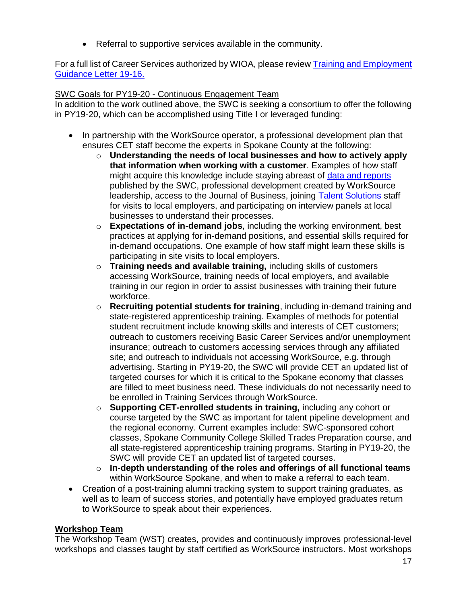• Referral to supportive services available in the community.

For a full list of Career Services authorized by WIOA, please review [Training and Employment](https://wdr.doleta.gov/directives/corr_doc.cfm?DOCN=3851)  [Guidance Letter 19-16.](https://wdr.doleta.gov/directives/corr_doc.cfm?DOCN=3851)

## SWC Goals for PY19-20 - Continuous Engagement Team

In addition to the work outlined above, the SWC is seeking a consortium to offer the following in PY19-20, which can be accomplished using Title I or leveraged funding:

- In partnership with the WorkSource operator, a professional development plan that ensures CET staff become the experts in Spokane County at the following:
	- o **Understanding the needs of local businesses and how to actively apply that information when working with a customer**. Examples of how staff might acquire this knowledge include staying abreast of [data and reports](https://wdcspokane.com/workforce-data-and-tools) published by the SWC, professional development created by WorkSource leadership, access to the Journal of Business, joining [Talent Solutions](https://wdcspokane.com/rfps) staff for visits to local employers, and participating on interview panels at local businesses to understand their processes.
	- o **Expectations of in-demand jobs**, including the working environment, best practices at applying for in-demand positions, and essential skills required for in-demand occupations. One example of how staff might learn these skills is participating in site visits to local employers.
	- o **Training needs and available training,** including skills of customers accessing WorkSource, training needs of local employers, and available training in our region in order to assist businesses with training their future workforce.
	- o **Recruiting potential students for training**, including in-demand training and state-registered apprenticeship training. Examples of methods for potential student recruitment include knowing skills and interests of CET customers; outreach to customers receiving Basic Career Services and/or unemployment insurance; outreach to customers accessing services through any affiliated site; and outreach to individuals not accessing WorkSource, e.g. through advertising. Starting in PY19-20, the SWC will provide CET an updated list of targeted courses for which it is critical to the Spokane economy that classes are filled to meet business need. These individuals do not necessarily need to be enrolled in Training Services through WorkSource.
	- o **Supporting CET-enrolled students in training,** including any cohort or course targeted by the SWC as important for talent pipeline development and the regional economy. Current examples include: SWC-sponsored cohort classes, Spokane Community College Skilled Trades Preparation course, and all state-registered apprenticeship training programs. Starting in PY19-20, the SWC will provide CET an updated list of targeted courses.
	- o **In-depth understanding of the roles and offerings of all functional teams** within WorkSource Spokane, and when to make a referral to each team.
- Creation of a post-training alumni tracking system to support training graduates, as well as to learn of success stories, and potentially have employed graduates return to WorkSource to speak about their experiences.

## **Workshop Team**

The Workshop Team (WST) creates, provides and continuously improves professional-level workshops and classes taught by staff certified as WorkSource instructors. Most workshops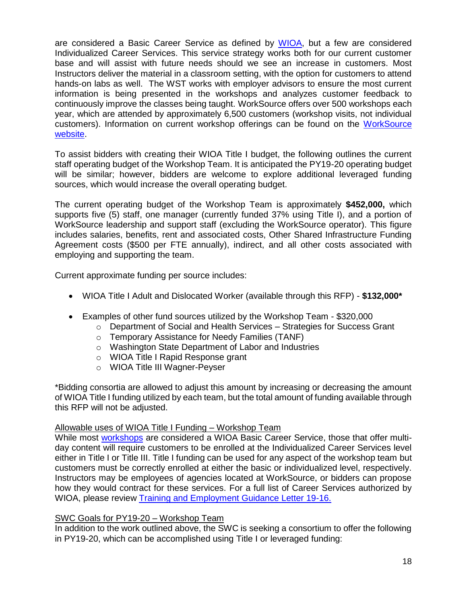are considered a Basic Career Service as defined by [WIOA,](https://wdr.doleta.gov/directives/attach/TEGL/TEGL_03-15_Acc.pdf) but a few are considered Individualized Career Services. This service strategy works both for our current customer base and will assist with future needs should we see an increase in customers. Most Instructors deliver the material in a classroom setting, with the option for customers to attend hands-on labs as well. The WST works with employer advisors to ensure the most current information is being presented in the workshops and analyzes customer feedback to continuously improve the classes being taught. WorkSource offers over 500 workshops each year, which are attended by approximately 6,500 customers (workshop visits, not individual customers). Information on current workshop offerings can be found on the [WorkSource](https://www.worksourcewa.com/microsite/Content.aspx?appid=WAWORKSHOPS&pagetype=simple&seo=workshops-calendar&webname=worksource-spokane&area=Spokane)  [website.](https://www.worksourcewa.com/microsite/Content.aspx?appid=WAWORKSHOPS&pagetype=simple&seo=workshops-calendar&webname=worksource-spokane&area=Spokane)

To assist bidders with creating their WIOA Title I budget, the following outlines the current staff operating budget of the Workshop Team. It is anticipated the PY19-20 operating budget will be similar; however, bidders are welcome to explore additional leveraged funding sources, which would increase the overall operating budget.

The current operating budget of the Workshop Team is approximately **\$452,000,** which supports five (5) staff, one manager (currently funded 37% using Title I), and a portion of WorkSource leadership and support staff (excluding the WorkSource operator). This figure includes salaries, benefits, rent and associated costs, Other Shared Infrastructure Funding Agreement costs (\$500 per FTE annually), indirect, and all other costs associated with employing and supporting the team.

Current approximate funding per source includes:

- WIOA Title I Adult and Dislocated Worker (available through this RFP) **\$132,000\***
- Examples of other fund sources utilized by the Workshop Team \$320,000
	- o Department of Social and Health Services Strategies for Success Grant
	- o Temporary Assistance for Needy Families (TANF)
	- o Washington State Department of Labor and Industries
	- o WIOA Title I Rapid Response grant
	- o WIOA Title III Wagner-Peyser

\*Bidding consortia are allowed to adjust this amount by increasing or decreasing the amount of WIOA Title I funding utilized by each team, but the total amount of funding available through this RFP will not be adjusted.

#### Allowable uses of WIOA Title I Funding – Workshop Team

While most [workshops](https://www.worksourcewa.com/microsite/Content.aspx?appid=WAWORKSHOPS&pagetype=simple&seo=workshops-calendar&webname=worksource-spokane&area=Spokane) are considered a WIOA Basic Career Service, those that offer multiday content will require customers to be enrolled at the Individualized Career Services level either in Title I or Title III. Title I funding can be used for any aspect of the workshop team but customers must be correctly enrolled at either the basic or individualized level, respectively. Instructors may be employees of agencies located at WorkSource, or bidders can propose how they would contract for these services. For a full list of Career Services authorized by WIOA, please review [Training and Employment Guidance Letter 19-16.](https://wdr.doleta.gov/directives/corr_doc.cfm?DOCN=3851)

## SWC Goals for PY19-20 – Workshop Team

In addition to the work outlined above, the SWC is seeking a consortium to offer the following in PY19-20, which can be accomplished using Title I or leveraged funding: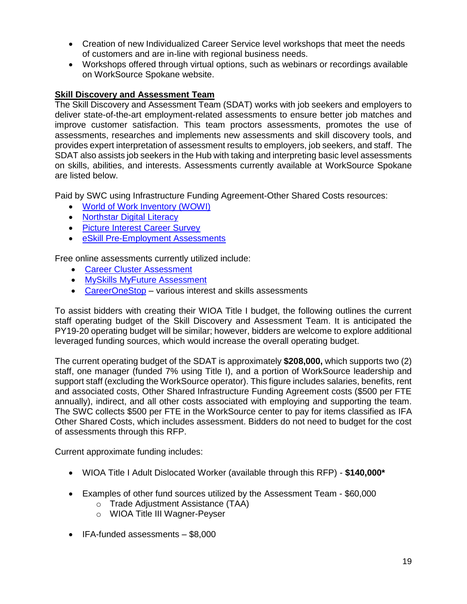- Creation of new Individualized Career Service level workshops that meet the needs of customers and are in-line with regional business needs.
- Workshops offered through virtual options, such as webinars or recordings available on WorkSource Spokane website.

## **Skill Discovery and Assessment Team**

The Skill Discovery and Assessment Team (SDAT) works with job seekers and employers to deliver state-of-the-art employment-related assessments to ensure better job matches and improve customer satisfaction. This team proctors assessments, promotes the use of assessments, researches and implements new assessments and skill discovery tools, and provides expert interpretation of assessment results to employers, job seekers, and staff. The SDAT also assists job seekers in the Hub with taking and interpreting basic level assessments on skills, abilities, and interests. Assessments currently available at WorkSource Spokane are listed below.

Paid by SWC using Infrastructure Funding Agreement-Other Shared Costs resources:

- [World of Work Inventory \(WOWI\)](https://www.wowi.com/)
- [Northstar Digital Literacy](https://www.digitalliteracyassessment.org/)
- [Picture Interest Career Survey](https://www.proedinc.com/Products/JST2943/picture-interest-career-surveysecond-edition-25.aspx)
- [eSkill Pre-Employment Assessments](https://www.eskill.com/)

Free online assessments currently utilized include:

- [Career Cluster Assessment](https://careerwise.minnstate.edu/careers/assessmentsuite.html)
- [MySkills MyFuture Assessment](https://www.myskillsmyfuture.org/)
- [CareerOneStop](https://www.careeronestop.org/) various interest and skills assessments

To assist bidders with creating their WIOA Title I budget, the following outlines the current staff operating budget of the Skill Discovery and Assessment Team. It is anticipated the PY19-20 operating budget will be similar; however, bidders are welcome to explore additional leveraged funding sources, which would increase the overall operating budget.

The current operating budget of the SDAT is approximately **\$208,000,** which supports two (2) staff, one manager (funded 7% using Title I), and a portion of WorkSource leadership and support staff (excluding the WorkSource operator). This figure includes salaries, benefits, rent and associated costs, Other Shared Infrastructure Funding Agreement costs (\$500 per FTE annually), indirect, and all other costs associated with employing and supporting the team. The SWC collects \$500 per FTE in the WorkSource center to pay for items classified as IFA Other Shared Costs, which includes assessment. Bidders do not need to budget for the cost of assessments through this RFP.

Current approximate funding includes:

- WIOA Title I Adult Dislocated Worker (available through this RFP) **\$140,000\***
- Examples of other fund sources utilized by the Assessment Team \$60,000
	- o Trade Adjustment Assistance (TAA)
	- o WIOA Title III Wagner-Peyser
- IFA-funded assessments \$8,000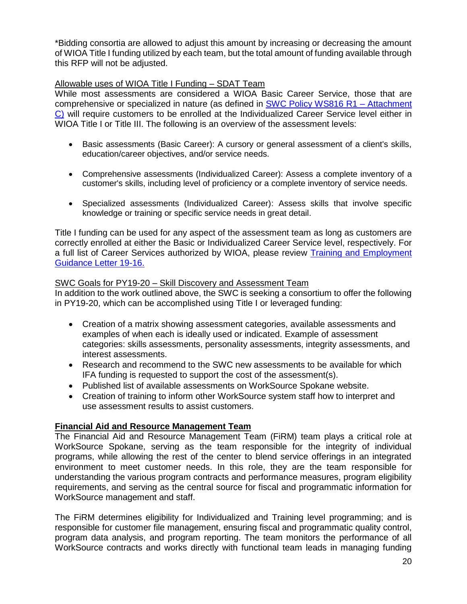\*Bidding consortia are allowed to adjust this amount by increasing or decreasing the amount of WIOA Title I funding utilized by each team, but the total amount of funding available through this RFP will not be adjusted.

#### Allowable uses of WIOA Title I Funding – SDAT Team

While most assessments are considered a WIOA Basic Career Service, those that are comprehensive or specialized in nature (as defined in [SWC Policy WS816 R1 –](https://wdcspokane.com/worksource-system) Attachment [C\)](https://wdcspokane.com/worksource-system) will require customers to be enrolled at the Individualized Career Service level either in WIOA Title I or Title III. The following is an overview of the assessment levels:

- Basic assessments (Basic Career): A cursory or general assessment of a client's skills, education/career objectives, and/or service needs.
- Comprehensive assessments (Individualized Career): Assess a complete inventory of a customer's skills, including level of proficiency or a complete inventory of service needs.
- Specialized assessments (Individualized Career): Assess skills that involve specific knowledge or training or specific service needs in great detail.

Title I funding can be used for any aspect of the assessment team as long as customers are correctly enrolled at either the Basic or Individualized Career Service level, respectively. For a full list of Career Services authorized by WIOA, please review [Training and Employment](https://wdr.doleta.gov/directives/corr_doc.cfm?DOCN=3851)  [Guidance Letter 19-16.](https://wdr.doleta.gov/directives/corr_doc.cfm?DOCN=3851)

#### SWC Goals for PY19-20 – Skill Discovery and Assessment Team

In addition to the work outlined above, the SWC is seeking a consortium to offer the following in PY19-20, which can be accomplished using Title I or leveraged funding:

- Creation of a matrix showing assessment categories, available assessments and examples of when each is ideally used or indicated. Example of assessment categories: skills assessments, personality assessments, integrity assessments, and interest assessments.
- Research and recommend to the SWC new assessments to be available for which IFA funding is requested to support the cost of the assessment(s).
- Published list of available assessments on WorkSource Spokane website.
- Creation of training to inform other WorkSource system staff how to interpret and use assessment results to assist customers.

#### **Financial Aid and Resource Management Team**

The Financial Aid and Resource Management Team (FiRM) team plays a critical role at WorkSource Spokane, serving as the team responsible for the integrity of individual programs, while allowing the rest of the center to blend service offerings in an integrated environment to meet customer needs. In this role, they are the team responsible for understanding the various program contracts and performance measures, program eligibility requirements, and serving as the central source for fiscal and programmatic information for WorkSource management and staff.

The FiRM determines eligibility for Individualized and Training level programming; and is responsible for customer file management, ensuring fiscal and programmatic quality control, program data analysis, and program reporting. The team monitors the performance of all WorkSource contracts and works directly with functional team leads in managing funding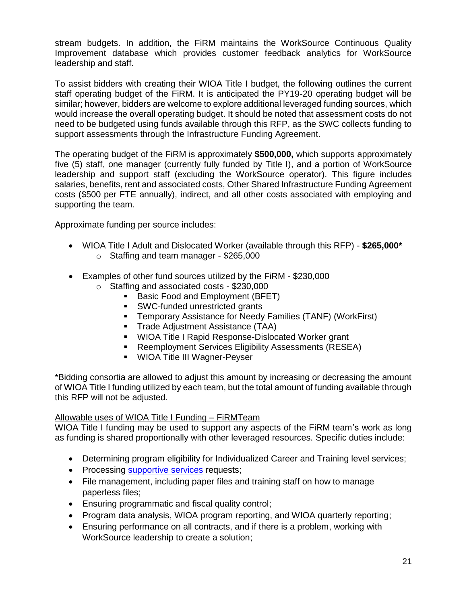stream budgets. In addition, the FiRM maintains the WorkSource Continuous Quality Improvement database which provides customer feedback analytics for WorkSource leadership and staff.

To assist bidders with creating their WIOA Title I budget, the following outlines the current staff operating budget of the FiRM. It is anticipated the PY19-20 operating budget will be similar; however, bidders are welcome to explore additional leveraged funding sources, which would increase the overall operating budget. It should be noted that assessment costs do not need to be budgeted using funds available through this RFP, as the SWC collects funding to support assessments through the Infrastructure Funding Agreement.

The operating budget of the FiRM is approximately **\$500,000,** which supports approximately five (5) staff, one manager (currently fully funded by Title I), and a portion of WorkSource leadership and support staff (excluding the WorkSource operator). This figure includes salaries, benefits, rent and associated costs, Other Shared Infrastructure Funding Agreement costs (\$500 per FTE annually), indirect, and all other costs associated with employing and supporting the team.

Approximate funding per source includes:

- WIOA Title I Adult and Dislocated Worker (available through this RFP) **\$265,000\*** o Staffing and team manager - \$265,000
- Examples of other fund sources utilized by the FiRM \$230,000
	- o Staffing and associated costs \$230,000
		- Basic Food and Employment (BFET)
		- SWC-funded unrestricted grants
		- **EXECT** Temporary Assistance for Needy Families (TANF) (WorkFirst)
		- **Trade Adjustment Assistance (TAA)**
		- WIOA Title I Rapid Response-Dislocated Worker grant
		- Reemployment Services Eligibility Assessments (RESEA)
		- WIOA Title III Wagner-Peyser

\*Bidding consortia are allowed to adjust this amount by increasing or decreasing the amount of WIOA Title I funding utilized by each team, but the total amount of funding available through this RFP will not be adjusted.

#### Allowable uses of WIOA Title I Funding – FiRMTeam

WIOA Title I funding may be used to support any aspects of the FiRM team's work as long as funding is shared proportionally with other leveraged resources. Specific duties include:

- Determining program eligibility for Individualized Career and Training level services;
- Processing [supportive](https://wdcspokane.com/core/files/wdcspokane/uploads/files/W409%20R4%20Support%20Services%20100417.pdf) services requests;
- File management, including paper files and training staff on how to manage paperless files;
- Ensuring programmatic and fiscal quality control;
- Program data analysis, WIOA program reporting, and WIOA quarterly reporting;
- Ensuring performance on all contracts, and if there is a problem, working with WorkSource leadership to create a solution;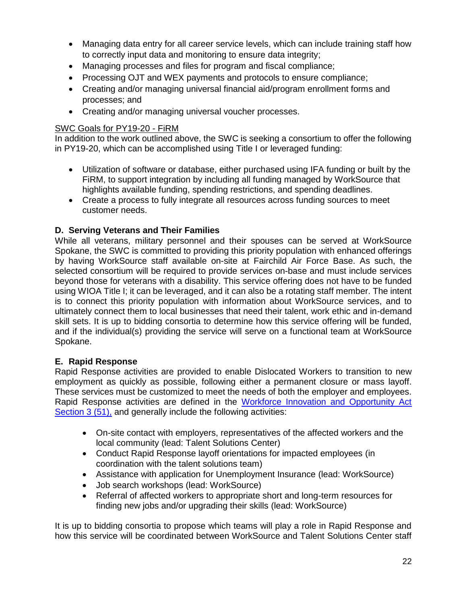- Managing data entry for all career service levels, which can include training staff how to correctly input data and monitoring to ensure data integrity;
- Managing processes and files for program and fiscal compliance;
- Processing OJT and WEX payments and protocols to ensure compliance;
- Creating and/or managing universal financial aid/program enrollment forms and processes; and
- Creating and/or managing universal voucher processes.

## SWC Goals for PY19-20 - FiRM

In addition to the work outlined above, the SWC is seeking a consortium to offer the following in PY19-20, which can be accomplished using Title I or leveraged funding:

- Utilization of software or database, either purchased using IFA funding or built by the FiRM, to support integration by including all funding managed by WorkSource that highlights available funding, spending restrictions, and spending deadlines.
- Create a process to fully integrate all resources across funding sources to meet customer needs.

## **D. Serving Veterans and Their Families**

While all veterans, military personnel and their spouses can be served at WorkSource Spokane, the SWC is committed to providing this priority population with enhanced offerings by having WorkSource staff available on-site at Fairchild Air Force Base. As such, the selected consortium will be required to provide services on-base and must include services beyond those for veterans with a disability. This service offering does not have to be funded using WIOA Title I; it can be leveraged, and it can also be a rotating staff member. The intent is to connect this priority population with information about WorkSource services, and to ultimately connect them to local businesses that need their talent, work ethic and in-demand skill sets. It is up to bidding consortia to determine how this service offering will be funded, and if the individual(s) providing the service will serve on a functional team at WorkSource Spokane.

## **E. Rapid Response**

Rapid Response activities are provided to enable Dislocated Workers to transition to new employment as quickly as possible, following either a permanent closure or mass layoff. These services must be customized to meet the needs of both the employer and employees. Rapid Response activities are defined in the [Workforce Innovation and Opportunity Act](https://www.federalregister.gov/documents/2015/04/16/2015-05530/workforce-innovation-and-opportunity-act-notice-of-proposed-rulemaking)  [Section 3 \(51\),](https://www.federalregister.gov/documents/2015/04/16/2015-05530/workforce-innovation-and-opportunity-act-notice-of-proposed-rulemaking) and generally include the following activities:

- On-site contact with employers, representatives of the affected workers and the local community (lead: Talent Solutions Center)
- Conduct Rapid Response layoff orientations for impacted employees (in coordination with the talent solutions team)
- Assistance with application for Unemployment Insurance (lead: WorkSource)
- Job search workshops (lead: WorkSource)
- Referral of affected workers to appropriate short and long-term resources for finding new jobs and/or upgrading their skills (lead: WorkSource)

It is up to bidding consortia to propose which teams will play a role in Rapid Response and how this service will be coordinated between WorkSource and Talent Solutions Center staff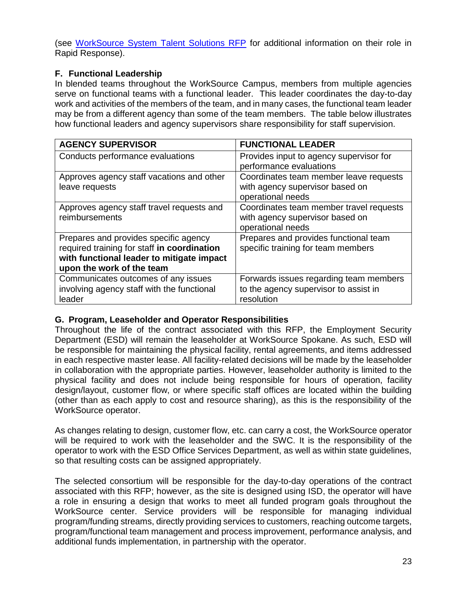(see [WorkSource System Talent Solutions RFP](https://wdcspokane.com/rfps) for additional information on their role in Rapid Response).

## **F. Functional Leadership**

In blended teams throughout the WorkSource Campus, members from multiple agencies serve on functional teams with a functional leader. This leader coordinates the day-to-day work and activities of the members of the team, and in many cases, the functional team leader may be from a different agency than some of the team members. The table below illustrates how functional leaders and agency supervisors share responsibility for staff supervision.

| <b>AGENCY SUPERVISOR</b>                    | <b>FUNCTIONAL LEADER</b>                |
|---------------------------------------------|-----------------------------------------|
| Conducts performance evaluations            | Provides input to agency supervisor for |
|                                             | performance evaluations                 |
| Approves agency staff vacations and other   | Coordinates team member leave requests  |
| leave requests                              | with agency supervisor based on         |
|                                             | operational needs                       |
| Approves agency staff travel requests and   | Coordinates team member travel requests |
| reimbursements                              | with agency supervisor based on         |
|                                             | operational needs                       |
| Prepares and provides specific agency       | Prepares and provides functional team   |
| required training for staff in coordination | specific training for team members      |
| with functional leader to mitigate impact   |                                         |
| upon the work of the team                   |                                         |
| Communicates outcomes of any issues         | Forwards issues regarding team members  |
| involving agency staff with the functional  | to the agency supervisor to assist in   |
| leader                                      | resolution                              |

## **G. Program, Leaseholder and Operator Responsibilities**

Throughout the life of the contract associated with this RFP, the Employment Security Department (ESD) will remain the leaseholder at WorkSource Spokane. As such, ESD will be responsible for maintaining the physical facility, rental agreements, and items addressed in each respective master lease. All facility-related decisions will be made by the leaseholder in collaboration with the appropriate parties. However, leaseholder authority is limited to the physical facility and does not include being responsible for hours of operation, facility design/layout, customer flow, or where specific staff offices are located within the building (other than as each apply to cost and resource sharing), as this is the responsibility of the WorkSource operator.

As changes relating to design, customer flow, etc. can carry a cost, the WorkSource operator will be required to work with the leaseholder and the SWC. It is the responsibility of the operator to work with the ESD Office Services Department, as well as within state guidelines, so that resulting costs can be assigned appropriately.

The selected consortium will be responsible for the day-to-day operations of the contract associated with this RFP; however, as the site is designed using ISD, the operator will have a role in ensuring a design that works to meet all funded program goals throughout the WorkSource center. Service providers will be responsible for managing individual program/funding streams, directly providing services to customers, reaching outcome targets, program/functional team management and process improvement, performance analysis, and additional funds implementation, in partnership with the operator.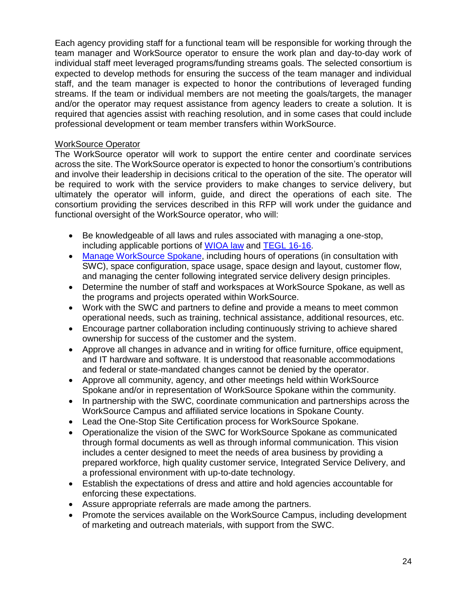Each agency providing staff for a functional team will be responsible for working through the team manager and WorkSource operator to ensure the work plan and day-to-day work of individual staff meet leveraged programs/funding streams goals. The selected consortium is expected to develop methods for ensuring the success of the team manager and individual staff, and the team manager is expected to honor the contributions of leveraged funding streams. If the team or individual members are not meeting the goals/targets, the manager and/or the operator may request assistance from agency leaders to create a solution. It is required that agencies assist with reaching resolution, and in some cases that could include professional development or team member transfers within WorkSource.

## WorkSource Operator

The WorkSource operator will work to support the entire center and coordinate services across the site. The WorkSource operator is expected to honor the consortium's contributions and involve their leadership in decisions critical to the operation of the site. The operator will be required to work with the service providers to make changes to service delivery, but ultimately the operator will inform, guide, and direct the operations of each site. The consortium providing the services described in this RFP will work under the guidance and functional oversight of the WorkSource operator, who will:

- Be knowledgeable of all laws and rules associated with managing a one-stop, including applicable portions of [WIOA law](https://www.doleta.gov/wioa/) and [TEGL 16-16.](https://wdr.doleta.gov/directives/attach/TEGL/TEGL_16-16_Acc.pdf)
- [Manage WorkSource Spokane,](https://wdcspokane.com/core/files/wdcspokane/uploads/files/One%20Stop%20Operator%20R1.pdf) including hours of operations (in consultation with SWC), space configuration, space usage, space design and layout, customer flow, and managing the center following integrated service delivery design principles.
- Determine the number of staff and workspaces at WorkSource Spokane, as well as the programs and projects operated within WorkSource.
- Work with the SWC and partners to define and provide a means to meet common operational needs, such as training, technical assistance, additional resources, etc.
- Encourage partner collaboration including continuously striving to achieve shared ownership for success of the customer and the system.
- Approve all changes in advance and in writing for office furniture, office equipment, and IT hardware and software. It is understood that reasonable accommodations and federal or state-mandated changes cannot be denied by the operator.
- Approve all community, agency, and other meetings held within WorkSource Spokane and/or in representation of WorkSource Spokane within the community.
- In partnership with the SWC, coordinate communication and partnerships across the WorkSource Campus and affiliated service locations in Spokane County.
- Lead the One-Stop Site Certification process for WorkSource Spokane.
- Operationalize the vision of the SWC for WorkSource Spokane as communicated through formal documents as well as through informal communication. This vision includes a center designed to meet the needs of area business by providing a prepared workforce, high quality customer service, Integrated Service Delivery, and a professional environment with up-to-date technology.
- Establish the expectations of dress and attire and hold agencies accountable for enforcing these expectations.
- Assure appropriate referrals are made among the partners.
- Promote the services available on the WorkSource Campus, including development of marketing and outreach materials, with support from the SWC.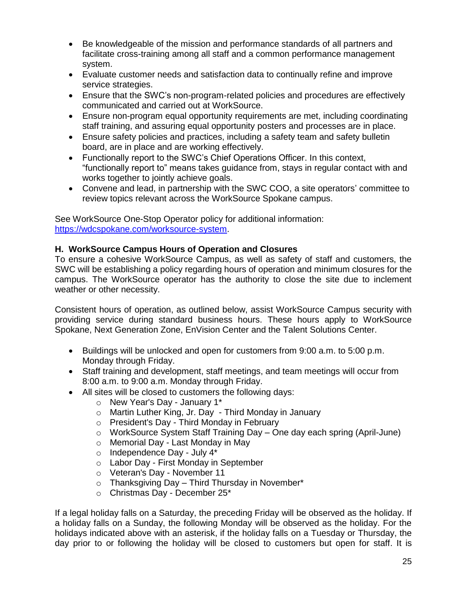- Be knowledgeable of the mission and performance standards of all partners and facilitate cross-training among all staff and a common performance management system.
- Evaluate customer needs and satisfaction data to continually refine and improve service strategies.
- Ensure that the SWC's non-program-related policies and procedures are effectively communicated and carried out at WorkSource.
- Ensure non-program equal opportunity requirements are met, including coordinating staff training, and assuring equal opportunity posters and processes are in place.
- Ensure safety policies and practices, including a safety team and safety bulletin board, are in place and are working effectively.
- Functionally report to the SWC's Chief Operations Officer. In this context, "functionally report to" means takes guidance from, stays in regular contact with and works together to jointly achieve goals.
- Convene and lead, in partnership with the SWC COO, a site operators' committee to review topics relevant across the WorkSource Spokane campus.

See WorkSource One-Stop Operator policy for additional information: [https://wdcspokane.com/worksource-system.](https://wdcspokane.com/worksource-system)

## **H. WorkSource Campus Hours of Operation and Closures**

To ensure a cohesive WorkSource Campus, as well as safety of staff and customers, the SWC will be establishing a policy regarding hours of operation and minimum closures for the campus. The WorkSource operator has the authority to close the site due to inclement weather or other necessity.

Consistent hours of operation, as outlined below, assist WorkSource Campus security with providing service during standard business hours. These hours apply to WorkSource Spokane, Next Generation Zone, EnVision Center and the Talent Solutions Center.

- Buildings will be unlocked and open for customers from 9:00 a.m. to 5:00 p.m. Monday through Friday.
- Staff training and development, staff meetings, and team meetings will occur from 8:00 a.m. to 9:00 a.m. Monday through Friday.
- All sites will be closed to customers the following days:
	- o New Year's Day January 1\*
	- o Martin Luther King, Jr. Day Third Monday in January
	- o President's Day Third Monday in February
	- o WorkSource System Staff Training Day One day each spring (April-June)
	- o Memorial Day Last Monday in May
	- o Independence Day July 4\*
	- o Labor Day First Monday in September
	- o Veteran's Day November 11
	- $\circ$  Thanksgiving Day Third Thursday in November\*
	- o Christmas Day December 25\*

If a legal holiday falls on a Saturday, the preceding Friday will be observed as the holiday. If a holiday falls on a Sunday, the following Monday will be observed as the holiday. For the holidays indicated above with an asterisk, if the holiday falls on a Tuesday or Thursday, the day prior to or following the holiday will be closed to customers but open for staff. It is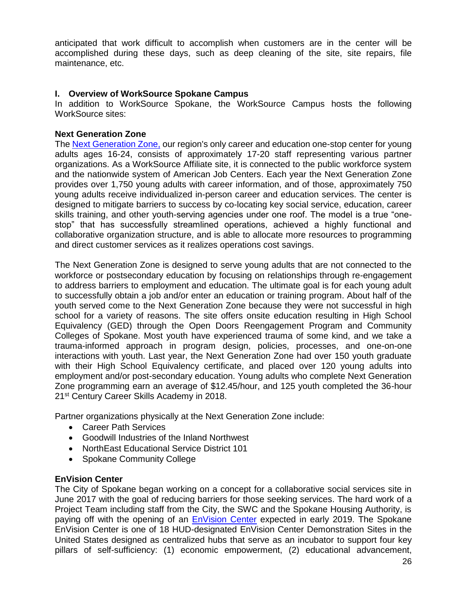anticipated that work difficult to accomplish when customers are in the center will be accomplished during these days, such as deep cleaning of the site, site repairs, file maintenance, etc.

## **I. Overview of WorkSource Spokane Campus**

In addition to WorkSource Spokane, the WorkSource Campus hosts the following WorkSource sites:

## **Next Generation Zone**

The [Next Generation Zone,](https://nextgenzone.org/) our region's only career and education one-stop center for young adults ages 16-24, consists of approximately 17-20 staff representing various partner organizations. As a WorkSource Affiliate site, it is connected to the public workforce system and the nationwide system of American Job Centers. Each year the Next Generation Zone provides over 1,750 young adults with career information, and of those, approximately 750 young adults receive individualized in-person career and education services. The center is designed to mitigate barriers to success by co-locating key social service, education, career skills training, and other youth-serving agencies under one roof. The model is a true "onestop" that has successfully streamlined operations, achieved a highly functional and collaborative organization structure, and is able to allocate more resources to programming and direct customer services as it realizes operations cost savings.

The Next Generation Zone is designed to serve young adults that are not connected to the workforce or postsecondary education by focusing on relationships through re-engagement to address barriers to employment and education. The ultimate goal is for each young adult to successfully obtain a job and/or enter an education or training program. About half of the youth served come to the Next Generation Zone because they were not successful in high school for a variety of reasons. The site offers onsite education resulting in High School Equivalency (GED) through the Open Doors Reengagement Program and Community Colleges of Spokane. Most youth have experienced trauma of some kind, and we take a trauma-informed approach in program design, policies, processes, and one-on-one interactions with youth. Last year, the Next Generation Zone had over 150 youth graduate with their High School Equivalency certificate, and placed over 120 young adults into employment and/or post-secondary education. Young adults who complete Next Generation Zone programming earn an average of \$12.45/hour, and 125 youth completed the 36-hour 21<sup>st</sup> Century Career Skills Academy in 2018.

Partner organizations physically at the Next Generation Zone include:

- Career Path Services
- Goodwill Industries of the Inland Northwest
- NorthEast Educational Service District 101
- Spokane Community College

#### **EnVision Center**

The City of Spokane began working on a concept for a collaborative social services site in June 2017 with the goal of reducing barriers for those seeking services. The hard work of a Project Team including staff from the City, the SWC and the Spokane Housing Authority, is paying off with the opening of an **EnVision Center** expected in early 2019. The Spokane EnVision Center is one of 18 HUD-designated EnVision Center Demonstration Sites in the United States designed as centralized hubs that serve as an incubator to support four key pillars of self-sufficiency: (1) economic empowerment, (2) educational advancement,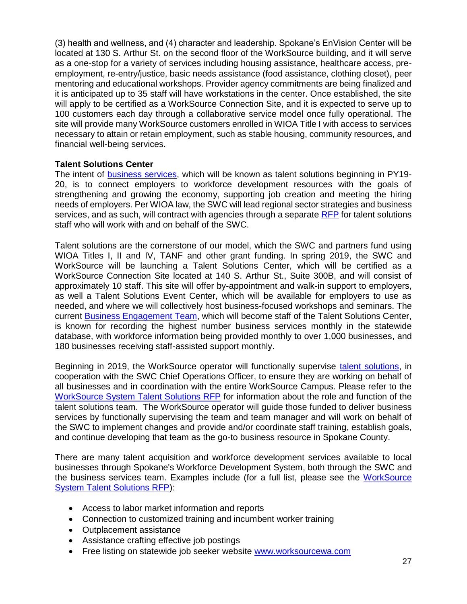(3) health and wellness, and (4) character and leadership. Spokane's EnVision Center will be located at 130 S. Arthur St. on the second floor of the WorkSource building, and it will serve as a one-stop for a variety of services including housing assistance, healthcare access, preemployment, re-entry/justice, basic needs assistance (food assistance, clothing closet), peer mentoring and educational workshops. Provider agency commitments are being finalized and it is anticipated up to 35 staff will have workstations in the center. Once established, the site will apply to be certified as a WorkSource Connection Site, and it is expected to serve up to 100 customers each day through a collaborative service model once fully operational. The site will provide many WorkSource customers enrolled in WIOA Title I with access to services necessary to attain or retain employment, such as stable housing, community resources, and financial well-being services.

#### **Talent Solutions Center**

The intent of [business services,](https://wdcspokane.com/employer-resources) which will be known as talent solutions beginning in PY19- 20, is to connect employers to workforce development resources with the goals of strengthening and growing the economy, supporting job creation and meeting the hiring needs of employers. Per WIOA law, the SWC will lead regional sector strategies and business services, and as such, will contract with agencies through a separate [RFP](https://wdcspokane.com/rfps) for talent solutions staff who will work with and on behalf of the SWC.

Talent solutions are the cornerstone of our model, which the SWC and partners fund using WIOA Titles I, II and IV, TANF and other grant funding. In spring 2019, the SWC and WorkSource will be launching a Talent Solutions Center, which will be certified as a WorkSource Connection Site located at 140 S. Arthur St., Suite 300B, and will consist of approximately 10 staff. This site will offer by-appointment and walk-in support to employers, as well a Talent Solutions Event Center, which will be available for employers to use as needed, and where we will collectively host business-focused workshops and seminars. The current [Business Engagement Team,](https://worksourcespokane.com/for-employers) which will become staff of the Talent Solutions Center, is known for recording the highest number business services monthly in the statewide database, with workforce information being provided monthly to over 1,000 businesses, and 180 businesses receiving staff-assisted support monthly.

Beginning in 2019, the WorkSource operator will functionally supervise [talent solutions,](https://wdcspokane.com/rfps) in cooperation with the SWC Chief Operations Officer, to ensure they are working on behalf of all businesses and in coordination with the entire WorkSource Campus. Please refer to the [WorkSource System Talent Solutions RFP](https://wdcspokane.com/rfps) for information about the role and function of the talent solutions team. The WorkSource operator will guide those funded to deliver business services by functionally supervising the team and team manager and will work on behalf of the SWC to implement changes and provide and/or coordinate staff training, establish goals, and continue developing that team as the go-to business resource in Spokane County.

There are many talent acquisition and workforce development services available to local businesses through Spokane's Workforce Development System, both through the SWC and the business services team. Examples include (for a full list, please see the WorkSource [System Talent Solutions RFP\)](https://wdcspokane.com/rfps):

- Access to labor market information and reports
- Connection to customized training and incumbent worker training
- Outplacement assistance
- Assistance crafting effective job postings
- Free listing on statewide job seeker website [www.worksourcewa.com](https://worksourcewa.com/)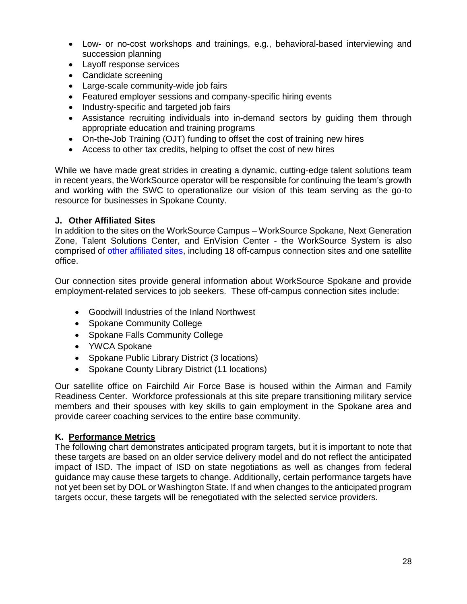- Low- or no-cost workshops and trainings, e.g., behavioral-based interviewing and succession planning
- Layoff [response](http://wdcspokane.com/layoff-response) services
- Candidate screening
- Large-scale community-wide job fairs
- Featured employer sessions and company-specific hiring events
- Industry-specific and targeted job fairs
- Assistance recruiting individuals into in-demand sectors by guiding them through appropriate education and training programs
- On-the-Job Training (OJT) funding to offset the cost of training new hires
- Access to other tax credits, helping to offset the cost of new hires

While we have made great strides in creating a dynamic, cutting-edge talent solutions team in recent years, the WorkSource operator will be responsible for continuing the team's growth and working with the SWC to operationalize our vision of this team serving as the go-to resource for businesses in Spokane County.

#### **J. Other Affiliated Sites**

In addition to the sites on the WorkSource Campus – WorkSource Spokane, Next Generation Zone, Talent Solutions Center, and EnVision Center - the WorkSource System is also comprised of [other affiliated sites,](https://worksourcespokane.com/partners) including 18 off-campus connection sites and one satellite office.

Our connection sites provide general information about WorkSource Spokane and provide employment-related services to job seekers. These off-campus connection sites include:

- Goodwill Industries of the Inland Northwest
- Spokane Community College
- Spokane Falls Community College
- YWCA Spokane
- Spokane Public Library District (3 locations)
- Spokane County Library District (11 locations)

Our satellite office on Fairchild Air Force Base is housed within the Airman and Family Readiness Center. Workforce professionals at this site prepare transitioning military service members and their spouses with key skills to gain employment in the Spokane area and provide career coaching services to the entire base community.

#### **K. Performance Metrics**

The following chart demonstrates anticipated program targets, but it is important to note that these targets are based on an older service delivery model and do not reflect the anticipated impact of ISD. The impact of ISD on state negotiations as well as changes from federal guidance may cause these targets to change. Additionally, certain performance targets have not yet been set by DOL or Washington State. If and when changes to the anticipated program targets occur, these targets will be renegotiated with the selected service providers.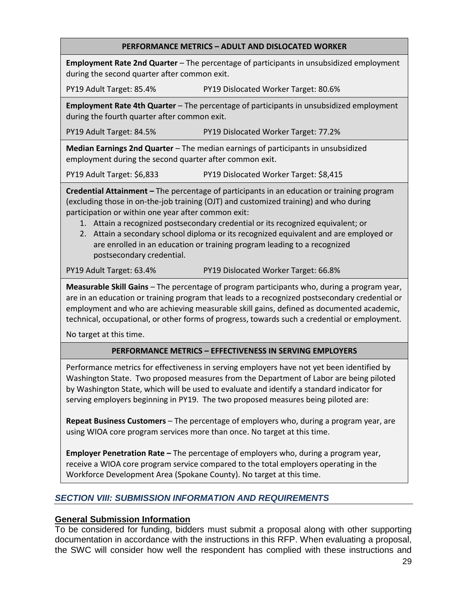#### **PERFORMANCE METRICS – ADULT AND DISLOCATED WORKER**

**Employment Rate 2nd Quarter** – The percentage of participants in unsubsidized employment during the second quarter after common exit.

PY19 Adult Target: 85.4% PY19 Dislocated Worker Target: 80.6%

**Employment Rate 4th Quarter** – The percentage of participants in unsubsidized employment during the fourth quarter after common exit.

PY19 Adult Target: 84.5% PY19 Dislocated Worker Target: 77.2%

**Median Earnings 2nd Quarter** – The median earnings of participants in unsubsidized employment during the second quarter after common exit.

PY19 Adult Target: \$6,833 PY19 Dislocated Worker Target: \$8,415

**Credential Attainment –** The percentage of participants in an education or training program (excluding those in on-the-job training (OJT) and customized training) and who during participation or within one year after common exit:

- 1. Attain a recognized postsecondary credential or its recognized equivalent; or
- 2. Attain a secondary school diploma or its recognized equivalent and are employed or are enrolled in an education or training program leading to a recognized postsecondary credential.

PY19 Adult Target: 63.4% PY19 Dislocated Worker Target: 66.8%

**Measurable Skill Gains** – The percentage of program participants who, during a program year, are in an education or training program that leads to a recognized postsecondary credential or employment and who are achieving measurable skill gains, defined as documented academic, technical, occupational, or other forms of progress, towards such a credential or employment.

No target at this time.

#### **PERFORMANCE METRICS – EFFECTIVENESS IN SERVING EMPLOYERS**

Performance metrics for effectiveness in serving employers have not yet been identified by Washington State. Two proposed measures from the Department of Labor are being piloted by Washington State, which will be used to evaluate and identify a standard indicator for serving employers beginning in PY19. The two proposed measures being piloted are:

**Repeat Business Customers** – The percentage of employers who, during a program year, are using WIOA core program services more than once. No target at this time.

**Employer Penetration Rate –** The percentage of employers who, during a program year, receive a WIOA core program service compared to the total employers operating in the Workforce Development Area (Spokane County). No target at this time.

## *SECTION VIII: SUBMISSION INFORMATION AND REQUIREMENTS*

#### **General Submission Information**

To be considered for funding, bidders must submit a proposal along with other supporting documentation in accordance with the instructions in this RFP. When evaluating a proposal, the SWC will consider how well the respondent has complied with these instructions and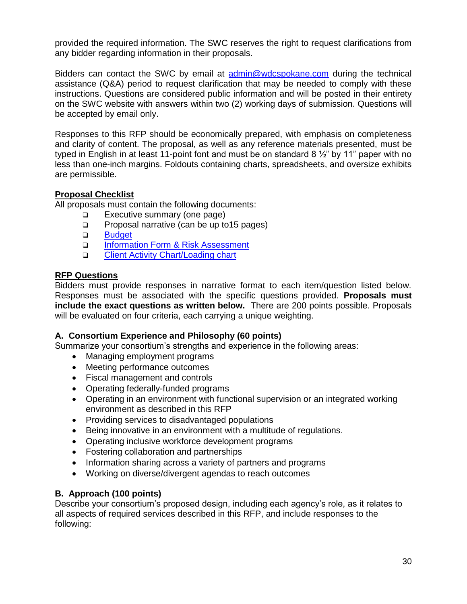provided the required information. The SWC reserves the right to request clarifications from any bidder regarding information in their proposals.

Bidders can contact the SWC by email at [admin@wdcspokane.com](mailto:admin@wdcspokane.com) during the technical assistance (Q&A) period to request clarification that may be needed to comply with these instructions. Questions are considered public information and will be posted in their entirety on the SWC website with answers within two (2) working days of submission. Questions will be accepted by email only.

Responses to this RFP should be economically prepared, with emphasis on completeness and clarity of content. The proposal, as well as any reference materials presented, must be typed in English in at least 11-point font and must be on standard 8  $\frac{1}{2}$  by 11" paper with no less than one-inch margins. Foldouts containing charts, spreadsheets, and oversize exhibits are permissible.

## **Proposal Checklist**

All proposals must contain the following documents:

- □ Executive summary (one page)
- □ Proposal narrative (can be up to 15 pages)
- a Budget
- □ [Information Form & Risk Assessment](http://www.wdcspokane.com/rfps)
- □ [Client Activity Chart/Loading chart](https://wdcspokane.com/rfps)

## **RFP Questions**

Bidders must provide responses in narrative format to each item/question listed below. Responses must be associated with the specific questions provided. **Proposals must include the exact questions as written below.** There are 200 points possible. Proposals will be evaluated on four criteria, each carrying a unique weighting.

## **A. Consortium Experience and Philosophy (60 points)**

Summarize your consortium's strengths and experience in the following areas:

- Managing employment programs
- Meeting performance outcomes
- Fiscal management and controls
- Operating federally-funded programs
- Operating in an environment with functional supervision or an integrated working environment as described in this RFP
- Providing services to disadvantaged populations
- Being innovative in an environment with a multitude of regulations.
- Operating inclusive workforce development programs
- Fostering collaboration and partnerships
- Information sharing across a variety of partners and programs
- Working on diverse/divergent agendas to reach outcomes

## **B. Approach (100 points)**

Describe your consortium's proposed design, including each agency's role, as it relates to all aspects of required services described in this RFP, and include responses to the following: